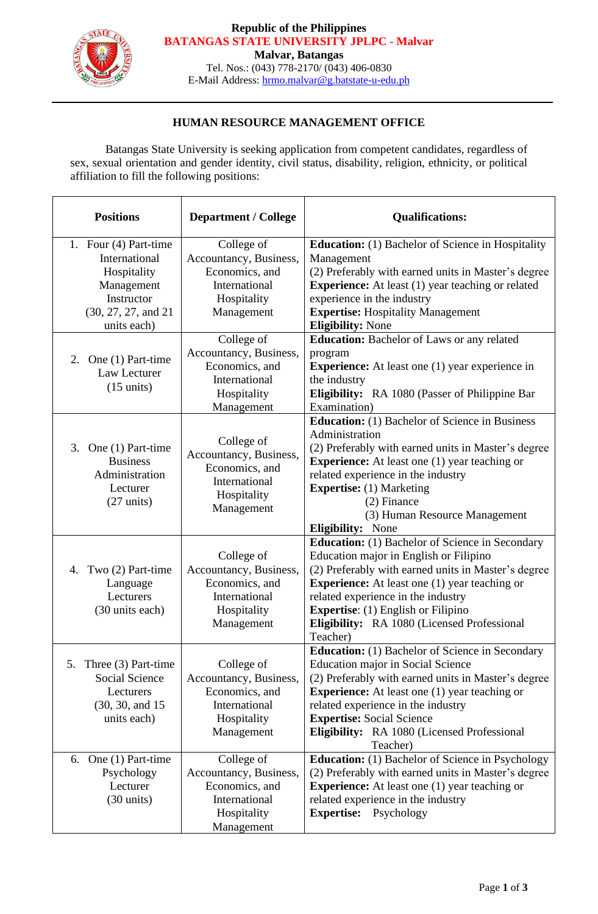

### **Republic of the Philippines BATANGAS STATE UNIVERSITY JPLPC - Malvar**

**Malvar, Batangas**

Tel. Nos.: (043) 778-2170/ (043) 406-0830 E-Mail Address: [hrmo.malvar@g.batstate-u-edu.ph](mailto:hrmo.malvar@g.batstate-u-edu.ph)

# **HUMAN RESOURCE MANAGEMENT OFFICE**

Batangas State University is seeking application from competent candidates, regardless of sex, sexual orientation and gender identity, civil status, disability, religion, ethnicity, or political affiliation to fill the following positions:

| <b>Positions</b>                                                                                                        | <b>Department / College</b>                                                                          | <b>Qualifications:</b>                                                                                                                                                                                                                                                                                                                                        |
|-------------------------------------------------------------------------------------------------------------------------|------------------------------------------------------------------------------------------------------|---------------------------------------------------------------------------------------------------------------------------------------------------------------------------------------------------------------------------------------------------------------------------------------------------------------------------------------------------------------|
| 1. Four (4) Part-time<br>International<br>Hospitality<br>Management<br>Instructor<br>(30, 27, 27, and 21<br>units each) | College of<br>Accountancy, Business,<br>Economics, and<br>International<br>Hospitality<br>Management | <b>Education:</b> (1) Bachelor of Science in Hospitality<br>Management<br>(2) Preferably with earned units in Master's degree<br><b>Experience:</b> At least (1) year teaching or related<br>experience in the industry<br><b>Expertise: Hospitality Management</b><br><b>Eligibility: None</b>                                                               |
| 2. One $(1)$ Part-time<br>Law Lecturer<br>$(15 \text{ units})$                                                          | College of<br>Accountancy, Business,<br>Economics, and<br>International<br>Hospitality<br>Management | <b>Education:</b> Bachelor of Laws or any related<br>program<br><b>Experience:</b> At least one (1) year experience in<br>the industry<br>Eligibility: RA 1080 (Passer of Philippine Bar<br>Examination)                                                                                                                                                      |
| 3.<br>One (1) Part-time<br><b>Business</b><br>Administration<br>Lecturer<br>$(27 \text{ units})$                        | College of<br>Accountancy, Business,<br>Economics, and<br>International<br>Hospitality<br>Management | <b>Education:</b> (1) Bachelor of Science in Business<br>Administration<br>(2) Preferably with earned units in Master's degree<br><b>Experience:</b> At least one (1) year teaching or<br>related experience in the industry<br><b>Expertise:</b> (1) Marketing<br>$(2)$ Finance<br>(3) Human Resource Management<br><b>Eligibility:</b> None                 |
| 4. Two (2) Part-time<br>Language<br>Lecturers<br>(30 units each)                                                        | College of<br>Accountancy, Business,<br>Economics, and<br>International<br>Hospitality<br>Management | <b>Education:</b> (1) Bachelor of Science in Secondary<br>Education major in English or Filipino<br>(2) Preferably with earned units in Master's degree<br><b>Experience:</b> At least one (1) year teaching or<br>related experience in the industry<br><b>Expertise:</b> (1) English or Filipino<br>Eligibility: RA 1080 (Licensed Professional<br>Teacher) |
| Three (3) Part-time<br>5.<br><b>Social Science</b><br>Lecturers<br>(30, 30, and 15)<br>units each)                      | College of<br>Accountancy, Business,<br>Economics, and<br>International<br>Hospitality<br>Management | <b>Education:</b> (1) Bachelor of Science in Secondary<br>Education major in Social Science<br>(2) Preferably with earned units in Master's degree<br><b>Experience:</b> At least one (1) year teaching or<br>related experience in the industry<br><b>Expertise:</b> Social Science<br>Eligibility: RA 1080 (Licensed Professional<br>Teacher)               |
| One (1) Part-time<br>6.<br>Psychology<br>Lecturer<br>$(30 \text{ units})$                                               | College of<br>Accountancy, Business,<br>Economics, and<br>International<br>Hospitality<br>Management | <b>Education:</b> (1) Bachelor of Science in Psychology<br>(2) Preferably with earned units in Master's degree<br><b>Experience:</b> At least one (1) year teaching or<br>related experience in the industry<br><b>Expertise:</b><br>Psychology                                                                                                               |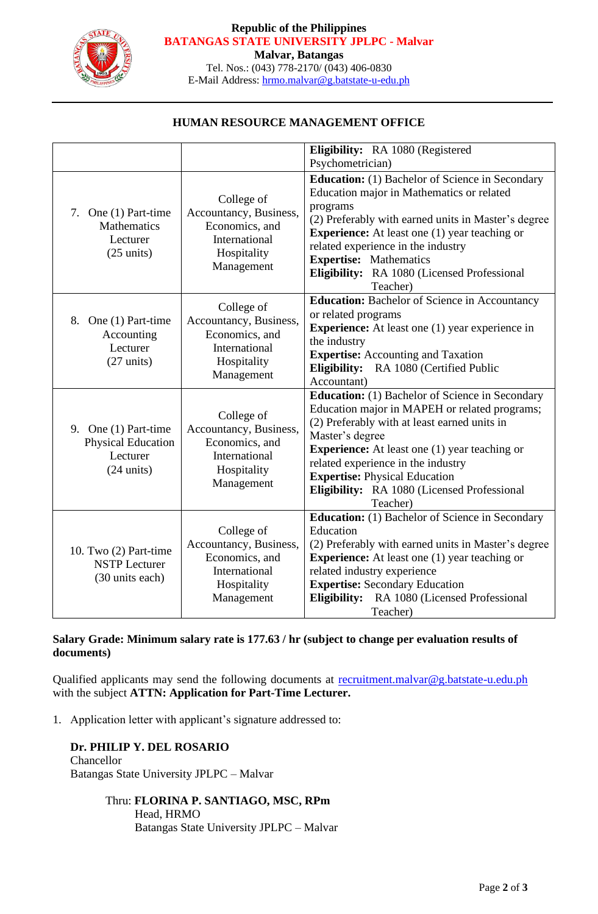

#### **Republic of the Philippines BATANGAS STATE UNIVERSITY JPLPC - Malvar**

**Malvar, Batangas**

Tel. Nos.: (043) 778-2170/ (043) 406-0830 E-Mail Address: [hrmo.malvar@g.batstate-u-edu.ph](mailto:hrmo.malvar@g.batstate-u-edu.ph)

### **HUMAN RESOURCE MANAGEMENT OFFICE**

|                                                                                       |                                                                                                      | Eligibility: RA 1080 (Registered                                                                                                                                                                                                                                                                                                                                            |
|---------------------------------------------------------------------------------------|------------------------------------------------------------------------------------------------------|-----------------------------------------------------------------------------------------------------------------------------------------------------------------------------------------------------------------------------------------------------------------------------------------------------------------------------------------------------------------------------|
|                                                                                       |                                                                                                      | Psychometrician)                                                                                                                                                                                                                                                                                                                                                            |
| 7. One (1) Part-time<br>Mathematics<br>Lecturer<br>$(25 \text{ units})$               | College of<br>Accountancy, Business,<br>Economics, and<br>International<br>Hospitality<br>Management | <b>Education:</b> (1) Bachelor of Science in Secondary<br>Education major in Mathematics or related<br>programs<br>(2) Preferably with earned units in Master's degree<br><b>Experience:</b> At least one (1) year teaching or<br>related experience in the industry<br><b>Expertise:</b> Mathematics<br>Eligibility: RA 1080 (Licensed Professional<br>Teacher)            |
| 8. One (1) Part-time<br>Accounting<br>Lecturer<br>$(27 \text{ units})$                | College of<br>Accountancy, Business,<br>Economics, and<br>International<br>Hospitality<br>Management | <b>Education:</b> Bachelor of Science in Accountancy<br>or related programs<br><b>Experience:</b> At least one (1) year experience in<br>the industry<br><b>Expertise:</b> Accounting and Taxation<br>Eligibility: RA 1080 (Certified Public<br>Accountant)                                                                                                                 |
| 9. One (1) Part-time<br><b>Physical Education</b><br>Lecturer<br>$(24 \text{ units})$ | College of<br>Accountancy, Business,<br>Economics, and<br>International<br>Hospitality<br>Management | <b>Education:</b> (1) Bachelor of Science in Secondary<br>Education major in MAPEH or related programs;<br>(2) Preferably with at least earned units in<br>Master's degree<br><b>Experience:</b> At least one (1) year teaching or<br>related experience in the industry<br><b>Expertise: Physical Education</b><br>Eligibility: RA 1080 (Licensed Professional<br>Teacher) |
| 10. Two (2) Part-time<br><b>NSTP</b> Lecturer<br>(30 units each)                      | College of<br>Accountancy, Business,<br>Economics, and<br>International<br>Hospitality<br>Management | <b>Education:</b> (1) Bachelor of Science in Secondary<br>Education<br>(2) Preferably with earned units in Master's degree<br><b>Experience:</b> At least one (1) year teaching or<br>related industry experience<br><b>Expertise: Secondary Education</b><br>Eligibility: RA 1080 (Licensed Professional<br>Teacher)                                                       |

## **Salary Grade: Minimum salary rate is 177.63 / hr (subject to change per evaluation results of documents)**

Qualified applicants may send the following documents at [recruitment.malvar@g.batstate-u.edu.ph](mailto:recruitment.malvar@g.batstate-u.edu.ph) with the subject **ATTN: Application for Part-Time Lecturer.** 

1. Application letter with applicant's signature addressed to:

### **Dr. PHILIP Y. DEL ROSARIO**  Chancellor Batangas State University JPLPC – Malvar

### Thru: **FLORINA P. SANTIAGO, MSC, RPm** Head, HRMO Batangas State University JPLPC – Malvar